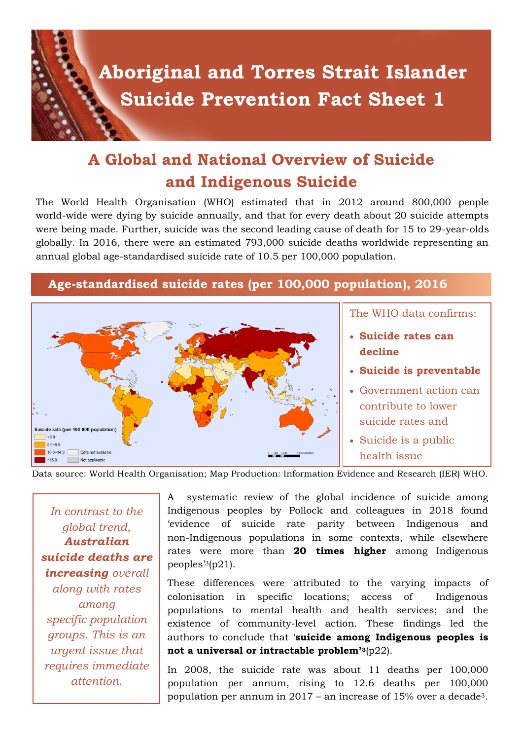

## **A Global and National Overview of Suicide and Indigenous Suicide**

The World Health Organisation (WHO) estimated that in 2012 around 800,000 people world-wide were dying by suicide annually, and that for every death about 20 suicide attempts were being made. Further, suicide was the second leading cause of death for 15 to 29-year-olds globally. In 2016, there were an estimated 793,000 suicide deaths worldwide representing an annual global age-standardised suicide rate of 10.5 per 100,000 population.

## **Age-standardised suicide rates (per 100,000 population), 2016**



The WHO data confirms:

- **Suicide rates can decline**
- **Suicide is preventable**
- Government action can contribute to lower suicide rates and
- Suicide is a public health issue

Data source: World Health Organisation; Map Production: Information Evidence and Research (IER) WHO.

*In contrast to the global trend, Australian suicide deaths are increasing overall along with rates among specific population groups. This is an urgent issue that requires immediate attention.*

A systematic review of the global incidence of suicide among Indigenous peoples by Pollock and colleagues in 2018 found 'evidence of suicide rate parity between Indigenous and non-Indigenous populations in some contexts, while elsewhere rates were more than **20 times higher** among Indigenous peoples'3(p21).

These differences were attributed to the varying impacts of colonisation in specific locations; access of Indigenous populations to mental health and health services; and the existence of community-level action. These findings led the authors to conclude that '**suicide among Indigenous peoples is not a universal or intractable problem'3**(p22).

In 2008, the suicide rate was about 11 deaths per 100,000 population per annum, rising to 12.6 deaths per 100,000 population per annum in 2017 – an increase of 15% over a decade3.